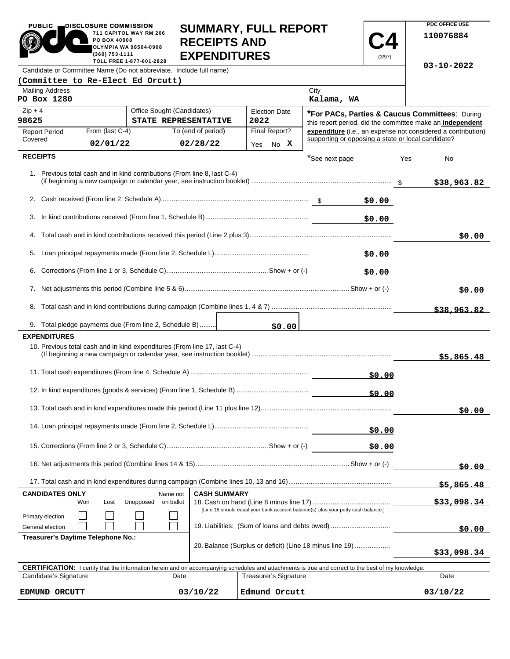|                                              | 711 CAPITOL WAY RM 206<br>PO BOX 40908<br>OLYMPIA WA 98504-0908<br>(360) 753-1111<br>TOLL FREE 1-877-601-2828                       |                                                                           | <b>RECEIPTS AND</b><br><b>EXPENDITURES</b> |                                                                                                                                                            |                                                    | (3/97) | 110076884                                                                                                   |        |
|----------------------------------------------|-------------------------------------------------------------------------------------------------------------------------------------|---------------------------------------------------------------------------|--------------------------------------------|------------------------------------------------------------------------------------------------------------------------------------------------------------|----------------------------------------------------|--------|-------------------------------------------------------------------------------------------------------------|--------|
|                                              |                                                                                                                                     | Candidate or Committee Name (Do not abbreviate. Include full name)        |                                            |                                                                                                                                                            |                                                    |        | $03 - 10 - 2022$                                                                                            |        |
| (Committee to Re-Elect Ed Orcutt)            |                                                                                                                                     |                                                                           |                                            |                                                                                                                                                            |                                                    |        |                                                                                                             |        |
| <b>Mailing Address</b>                       |                                                                                                                                     |                                                                           |                                            |                                                                                                                                                            | City                                               |        |                                                                                                             |        |
| PO Box 1280                                  |                                                                                                                                     |                                                                           |                                            |                                                                                                                                                            | Kalama, WA                                         |        |                                                                                                             |        |
| $Zip + 4$<br>98625                           |                                                                                                                                     | Office Sought (Candidates)<br>STATE REPRESENTATIVE                        |                                            | <b>Election Date</b><br>2022                                                                                                                               |                                                    |        | *For PACs, Parties & Caucus Committees: During<br>this report period, did the committee make an independent |        |
| <b>Report Period</b>                         | From (last C-4)                                                                                                                     |                                                                           | To (end of period)                         | Final Report?                                                                                                                                              |                                                    |        | expenditure (i.e., an expense not considered a contribution)                                                |        |
| Covered                                      | 02/01/22                                                                                                                            |                                                                           | 02/28/22                                   | Yes No X                                                                                                                                                   | supporting or opposing a state or local candidate? |        |                                                                                                             |        |
| <b>RECEIPTS</b>                              |                                                                                                                                     |                                                                           |                                            |                                                                                                                                                            | *See next page                                     |        | Yes<br>No                                                                                                   |        |
|                                              |                                                                                                                                     | 1. Previous total cash and in kind contributions (From line 8, last C-4)  |                                            |                                                                                                                                                            |                                                    |        | \$38,963.82                                                                                                 |        |
|                                              |                                                                                                                                     |                                                                           |                                            |                                                                                                                                                            |                                                    | \$0.00 |                                                                                                             |        |
| 3.                                           |                                                                                                                                     |                                                                           |                                            |                                                                                                                                                            |                                                    | \$0.00 |                                                                                                             |        |
| 4.                                           |                                                                                                                                     |                                                                           |                                            |                                                                                                                                                            |                                                    |        |                                                                                                             | \$0.00 |
|                                              |                                                                                                                                     |                                                                           |                                            |                                                                                                                                                            |                                                    | \$0.00 |                                                                                                             |        |
| 6.                                           |                                                                                                                                     |                                                                           |                                            |                                                                                                                                                            |                                                    | \$0.00 |                                                                                                             |        |
|                                              |                                                                                                                                     |                                                                           |                                            |                                                                                                                                                            |                                                    |        |                                                                                                             | \$0.00 |
|                                              |                                                                                                                                     |                                                                           |                                            |                                                                                                                                                            |                                                    |        | \$38,963.82                                                                                                 |        |
|                                              |                                                                                                                                     | 9. Total pledge payments due (From line 2, Schedule B)                    |                                            | \$0.00                                                                                                                                                     |                                                    |        |                                                                                                             |        |
| <b>EXPENDITURES</b>                          |                                                                                                                                     |                                                                           |                                            |                                                                                                                                                            |                                                    |        |                                                                                                             |        |
|                                              |                                                                                                                                     | 10. Previous total cash and in kind expenditures (From line 17, last C-4) |                                            |                                                                                                                                                            |                                                    |        | \$5,865.48                                                                                                  |        |
|                                              |                                                                                                                                     |                                                                           |                                            |                                                                                                                                                            |                                                    | \$0.00 |                                                                                                             |        |
|                                              |                                                                                                                                     |                                                                           |                                            |                                                                                                                                                            |                                                    | \$0.00 |                                                                                                             |        |
|                                              |                                                                                                                                     |                                                                           |                                            |                                                                                                                                                            |                                                    |        |                                                                                                             | \$0.00 |
|                                              |                                                                                                                                     |                                                                           |                                            |                                                                                                                                                            |                                                    | \$0.00 |                                                                                                             |        |
|                                              |                                                                                                                                     |                                                                           |                                            |                                                                                                                                                            |                                                    | \$0.00 |                                                                                                             |        |
|                                              |                                                                                                                                     |                                                                           |                                            |                                                                                                                                                            |                                                    |        |                                                                                                             | \$0.00 |
|                                              |                                                                                                                                     |                                                                           |                                            |                                                                                                                                                            |                                                    |        | \$5,865.48                                                                                                  |        |
| <b>CANDIDATES ONLY</b>                       |                                                                                                                                     | Name not                                                                  | <b>CASH SUMMARY</b>                        |                                                                                                                                                            |                                                    |        |                                                                                                             |        |
|                                              | Won<br>Lost                                                                                                                         | Unopposed<br>on ballot                                                    |                                            |                                                                                                                                                            |                                                    |        | \$33,098.34                                                                                                 |        |
| Primary election<br>General election         | [Line 18 should equal your bank account balance(s) plus your petty cash balance.]<br>19. Liabilities: (Sum of loans and debts owed) |                                                                           |                                            |                                                                                                                                                            |                                                    |        |                                                                                                             |        |
| \$0.00<br>Treasurer's Daytime Telephone No.: |                                                                                                                                     |                                                                           |                                            |                                                                                                                                                            |                                                    |        |                                                                                                             |        |
|                                              |                                                                                                                                     |                                                                           |                                            | 20. Balance (Surplus or deficit) (Line 18 minus line 19)                                                                                                   |                                                    |        | \$33,098.34                                                                                                 |        |
|                                              |                                                                                                                                     |                                                                           |                                            | <b>CERTIFICATION:</b> I certify that the information herein and on accompanying schedules and attachments is true and correct to the best of my knowledge. |                                                    |        |                                                                                                             |        |
| Candidate's Signature                        |                                                                                                                                     | Date                                                                      |                                            | Treasurer's Signature                                                                                                                                      |                                                    |        | Date                                                                                                        |        |
| EDMUND ORCUTT                                |                                                                                                                                     |                                                                           | 03/10/22                                   | Edmund Orcutt                                                                                                                                              |                                                    |        | 03/10/22                                                                                                    |        |

**SUMMARY, FULL REPORT** 

**C4**

 $\overline{\phantom{a}}$ 

**PDC OFFICE USE** 

PUBLIC **DISCLOSURE COMMISSION** 

п. × **711 CAPITOL WAY RM 206**